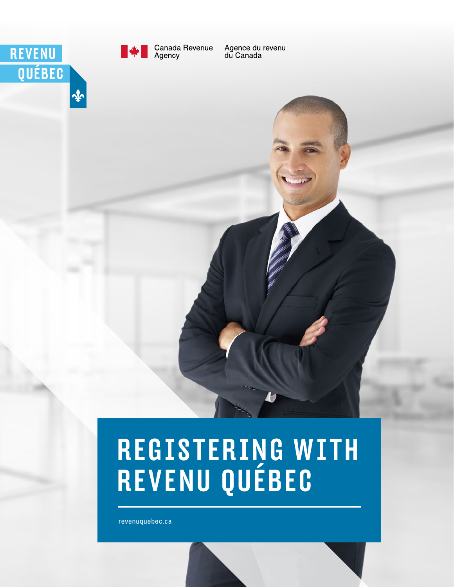revenuquebec.ca

# **REGISTERING WITH<br>REVENU QUÉBEC**







Canada Revenue<br>Agency

Agence du revenu<br>du Canada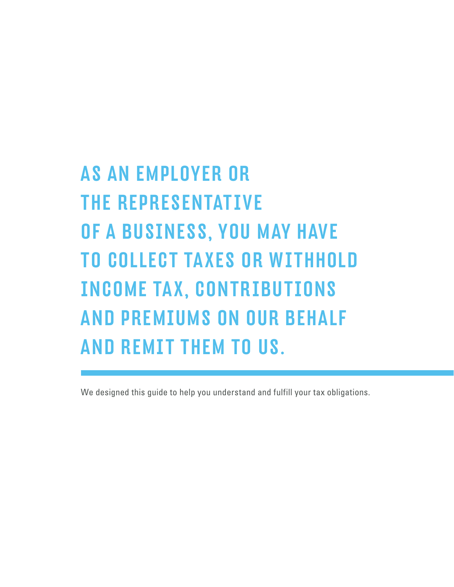# AS AN EMPLOYER OR THE REPRESENTATIVE OF A BUSINESS, YOU MAY HAVE TO COLLECT TAXES OR WITHHOLD INCOME TAX, CONTRIBUTIONS AND PREMIUMS ON OUR BEHALF AND REMIT THEM TO US.

We designed this quide to help you understand and fulfill your tax obligations.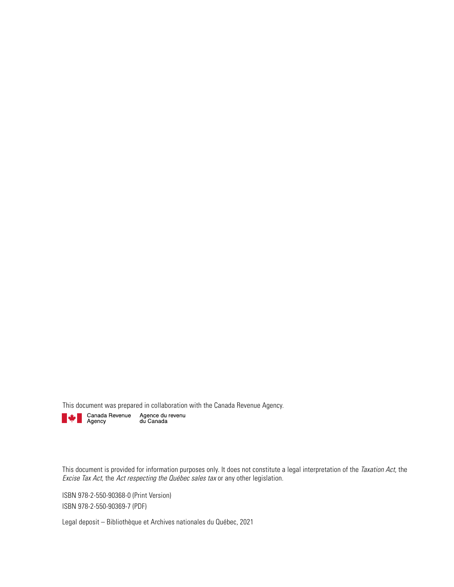This document was prepared in collaboration with the Canada Revenue Agency.<br> **Example Agency** Agency du Canada<br>
du Canada



This document is provided for information purposes only. It does not constitute a legal interpretation of the Taxation Act, the Excise Tax Act, the Act respecting the Québec sales tax or any other legislation.

ISBN 978-2-550-90368-0 (Print Version) ISBN 978-2-550-90369-7 (PDF)

Legal deposit – Bibliothèque et Archives nationales du Québec, 2021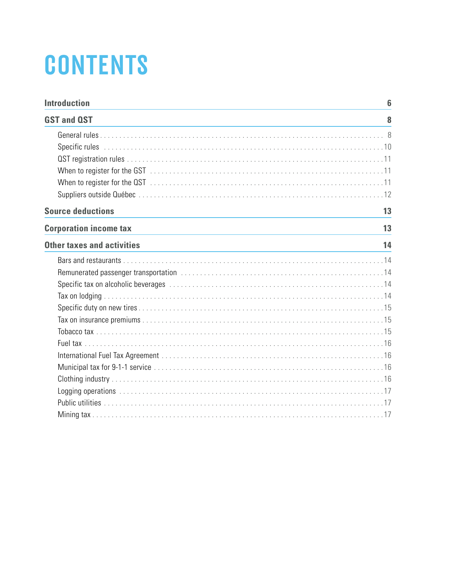# **CONTENTS**

| <b>Introduction</b>           | 6  |
|-------------------------------|----|
| <b>GST and QST</b>            | 8  |
|                               |    |
|                               |    |
|                               |    |
|                               |    |
|                               |    |
|                               |    |
| <b>Source deductions</b>      | 13 |
| <b>Corporation income tax</b> | 13 |
| Other taxes and activities    | 14 |
|                               |    |
|                               |    |
|                               |    |
|                               |    |
|                               |    |
|                               |    |
|                               |    |
|                               |    |
|                               |    |
|                               |    |
|                               |    |
|                               |    |
|                               |    |
|                               |    |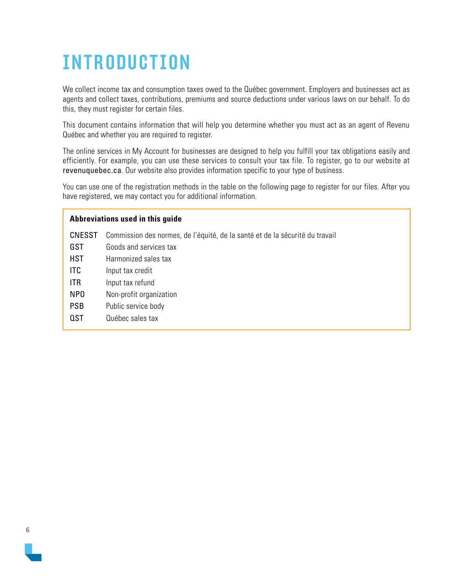# <span id="page-5-0"></span>INTRODUCTION

We collect income tax and consumption taxes owed to the Québec government. Employers and businesses act as agents and collect taxes, contributions, premiums and source deductions under various laws on our behalf. To do this, they must register for certain files.

This document contains information that will help you determine whether you must act as an agent of Revenu Québec and whether you are required to register.

The online services in My Account for businesses are designed to help you fulfill your tax obligations easily and efficiently. For example, you can use these services to consult your tax file. To register, go to our website at [revenuquebec.ca](http://www.revenuquebec.ca/en/). Our website also provides information specific to your type of business.

You can use one of the registration methods in the table on the following page to register for our files. After you have registered, we may contact you for additional information.

| Abbreviations used in this guide |                                                                              |  |  |
|----------------------------------|------------------------------------------------------------------------------|--|--|
| <b>CNESST</b>                    | Commission des normes, de l'équité, de la santé et de la sécurité du travail |  |  |
| <b>GST</b>                       | Goods and services tax                                                       |  |  |
| <b>HST</b>                       | Harmonized sales tax                                                         |  |  |
| ITC.                             | Input tax credit                                                             |  |  |
| ITR.                             | Input tax refund                                                             |  |  |
| NP <sub>0</sub>                  | Non-profit organization                                                      |  |  |
| <b>PSB</b>                       | Public service body                                                          |  |  |
| <b>QST</b>                       | Québec sales tax                                                             |  |  |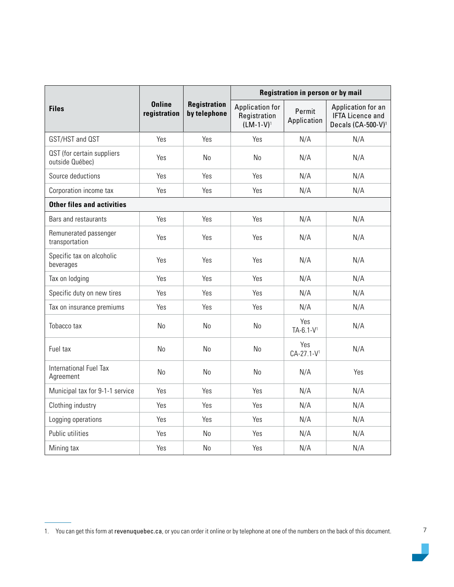|                                               | <b>Online</b><br>registration | <b>Registration</b><br>by telephone | Registration in person or by mail                        |                                |                                                                                 |
|-----------------------------------------------|-------------------------------|-------------------------------------|----------------------------------------------------------|--------------------------------|---------------------------------------------------------------------------------|
| <b>Files</b>                                  |                               |                                     | <b>Application for</b><br>Registration<br>$(LM-1-V)^{1}$ | Permit<br>Application          | Application for an<br><b>IFTA Licence and</b><br>Decals (CA-500-V) <sup>1</sup> |
| GST/HST and QST                               | Yes                           | Yes                                 | Yes                                                      | N/A                            | N/A                                                                             |
| QST (for certain suppliers<br>outside Québec) | Yes                           | No                                  | No                                                       | N/A                            | N/A                                                                             |
| Source deductions                             | Yes                           | Yes                                 | Yes                                                      | N/A                            | N/A                                                                             |
| Corporation income tax                        | Yes                           | Yes                                 | Yes                                                      | N/A                            | N/A                                                                             |
| <b>Other files and activities</b>             |                               |                                     |                                                          |                                |                                                                                 |
| Bars and restaurants                          | Yes                           | Yes                                 | Yes                                                      | N/A                            | N/A                                                                             |
| Remunerated passenger<br>transportation       | Yes                           | Yes                                 | Yes                                                      | N/A                            | N/A                                                                             |
| Specific tax on alcoholic<br>beverages        | Yes                           | Yes                                 | Yes                                                      | N/A                            | N/A                                                                             |
| Tax on lodging                                | Yes                           | Yes                                 | Yes                                                      | N/A                            | N/A                                                                             |
| Specific duty on new tires                    | Yes                           | Yes                                 | Yes                                                      | N/A                            | N/A                                                                             |
| Tax on insurance premiums                     | Yes                           | Yes                                 | Yes                                                      | N/A                            | N/A                                                                             |
| Tobacco tax                                   | <b>No</b>                     | N <sub>0</sub>                      | N <sub>0</sub>                                           | Yes<br>$TA-6.1-V$ <sup>1</sup> | N/A                                                                             |
| Fuel tax                                      | No                            | No                                  | No                                                       | Yes<br>CA-27.1-V1              | N/A                                                                             |
| International Fuel Tax<br>Agreement           | <b>No</b>                     | N <sub>o</sub>                      | No                                                       | N/A                            | Yes                                                                             |
| Municipal tax for 9-1-1 service               | Yes                           | Yes                                 | Yes                                                      | N/A                            | N/A                                                                             |
| Clothing industry                             | Yes                           | Yes                                 | Yes                                                      | N/A                            | N/A                                                                             |
| Logging operations                            | Yes                           | Yes                                 | Yes                                                      | N/A                            | N/A                                                                             |
| Public utilities                              | Yes                           | No                                  | Yes                                                      | N/A                            | N/A                                                                             |
| Mining tax                                    | Yes                           | No                                  | Yes                                                      | N/A                            | N/A                                                                             |

T.

<span id="page-6-0"></span><sup>1.</sup> You can get this form at [revenuquebec.ca](http://www.revenuquebec.ca/en/), or you can order it online or by telephone at one of the numbers on the back of this document.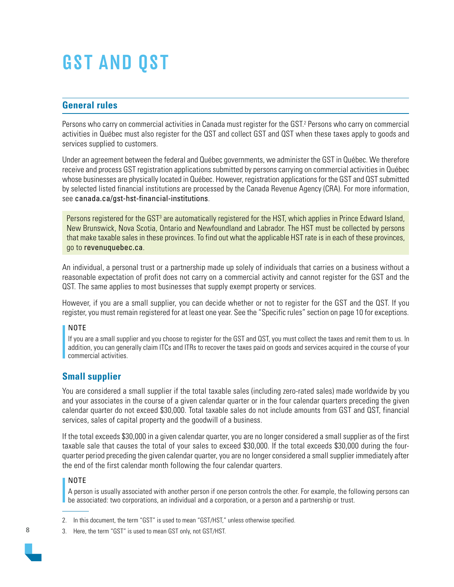# <span id="page-7-0"></span>GST AND QST

# **General rules**

Persons who carry on commercial activities in Canada must register for the GST.<sup>2</sup> Persons who carry on commercial activities in Québec must also register for the QST and collect GST and QST when these taxes apply to goods and services supplied to customers.

Under an agreement between the federal and Québec governments, we administer the GST in Québec. We therefore receive and process GST registration applications submitted by persons carrying on commercial activities in Québec whose businesses are physically located in Québec. However, registration applications for the GST and QST submitted by selected listed financial institutions are processed by the Canada Revenue Agency (CRA). For more information, see [canada.ca/gst-hst-financial-institutions](http://www.canada.ca/gst-hst-financial-institutions).

Persons registered for the GST<sup>3</sup> are automatically registered for the HST, which applies in Prince Edward Island, New Brunswick, Nova Scotia, Ontario and Newfoundland and Labrador. The HST must be collected by persons that make taxable sales in these provinces. To find out what the applicable HST rate is in each of these provinces, go to [revenuquebec.ca](http://www.revenuquebec.ca/en/).

An individual, a personal trust or a partnership made up solely of individuals that carries on a business without a reasonable expectation of profit does not carry on a commercial activity and cannot register for the GST and the QST. The same applies to most businesses that supply exempt property or services.

However, if you are a small supplier, you can decide whether or not to register for the GST and the QST. If you register, you must remain registered for at least one year. See the "Specific rules" section on page 10 for exceptions.

#### NOTE

If you are a small supplier and you choose to register for the GST and QST, you must collect the taxes and remit them to us. In addition, you can generally claim ITCs and ITRs to recover the taxes paid on goods and services acquired in the course of your commercial activities.

# **Small supplier**

You are considered a small supplier if the total taxable sales (including zero-rated sales) made worldwide by you and your associates in the course of a given calendar quarter or in the four calendar quarters preceding the given calendar quarter do not exceed \$30,000. Total taxable sales do not include amounts from GST and QST, financial services, sales of capital property and the goodwill of a business.

If the total exceeds \$30,000 in a given calendar quarter, you are no longer considered a small supplier as of the first taxable sale that causes the total of your sales to exceed \$30,000. If the total exceeds \$30,000 during the fourquarter period preceding the given calendar quarter, you are no longer considered a small supplier immediately after the end of the first calendar month following the four calendar quarters.

### NOTE

A person is usually associated with another person if one person controls the other. For example, the following persons can be associated: two corporations, an individual and a corporation, or a person and a partnership or trust.

- 2. In this document, the term "GST" is used to mean "GST/HST," unless otherwise specified.
- 3. Here, the term "GST" is used to mean GST only, not GST/HST.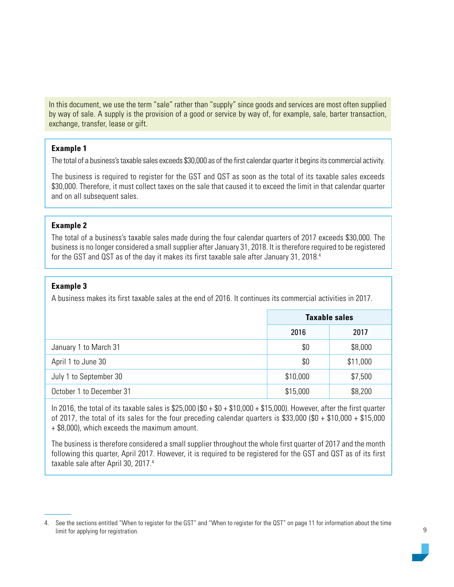In this document, we use the term "sale" rather than "supply" since goods and services are most often supplied by way of sale. A supply is the provision of a good or service by way of, for example, sale, barter transaction, exchange, transfer, lease or gift.

#### **Example 1**

The total of a business's taxable sales exceeds \$30,000 as of the first calendar quarter it begins its commercial activity.

The business is required to register for the GST and QST as soon as the total of its taxable sales exceeds \$30,000. Therefore, it must collect taxes on the sale that caused it to exceed the limit in that calendar quarter and on all subsequent sales.

#### **Example 2**

The total of a business's taxable sales made during the four calendar quarters of 2017 exceeds \$30,000. The business is no longer considered a small supplier after January 31, 2018. It is therefore required to be registered for the GST and QST as of the day it makes its first taxable sale after January 31, 2018.<sup>4</sup>

#### **Example 3**

A business makes its first taxable sales at the end of 2016. It continues its commercial activities in 2017.

|                          | <b>Taxable sales</b> |          |
|--------------------------|----------------------|----------|
|                          | 2016                 | 2017     |
| January 1 to March 31    | \$0                  | \$8,000  |
| April 1 to June 30       | \$0                  | \$11,000 |
| July 1 to September 30   | \$10,000             | \$7,500  |
| October 1 to December 31 | \$15,000             | \$8,200  |

In 2016, the total of its taxable sales is \$25,000 ( $$0 + $0 + $10,000 + $15,000$ ). However, after the first quarter of 2017, the total of its sales for the four preceding calendar quarters is \$33,000 (\$0 + \$10,000 + \$15,000 + \$8,000), which exceeds the maximum amount.

The business is therefore considered a small supplier throughout the whole first quarter of 2017 and the month following this quarter, April 2017. However, it is required to be registered for the GST and QST as of its first taxable sale after April 30, 2017.<sup>[4](#page-8-0)</sup>

<span id="page-8-0"></span><sup>4.</sup> See the sections entitled "When to register for the GST" and "When to register for the QST" on page 11 for information about the time limit for applying for registration.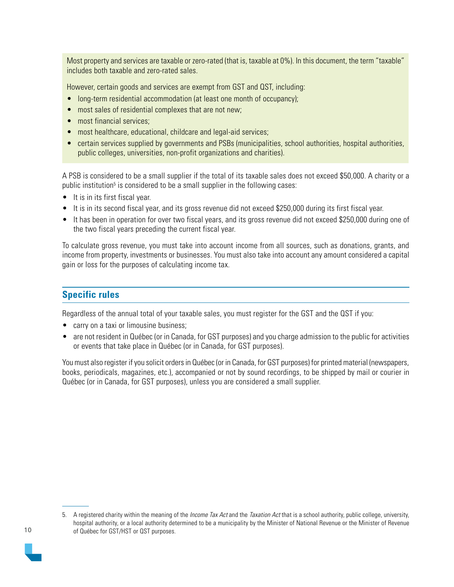<span id="page-9-0"></span>Most property and services are taxable or zero-rated (that is, taxable at 0%). In this document, the term "taxable" includes both taxable and zero-rated sales.

However, certain goods and services are exempt from GST and QST, including:

- long-term residential accommodation (at least one month of occupancy);
- most sales of residential complexes that are not new;
- most financial services;
- most healthcare, educational, childcare and legal-aid services;
- certain services supplied by governments and PSBs (municipalities, school authorities, hospital authorities, public colleges, universities, non-profit organizations and charities).

A PSB is considered to be a small supplier if the total of its taxable sales does not exceed \$50,000. A charity or a public institution<sup>5</sup> is considered to be a small supplier in the following cases:

- It is in its first fiscal year.
- It is in its second fiscal year, and its gross revenue did not exceed \$250,000 during its first fiscal year.
- It has been in operation for over two fiscal years, and its gross revenue did not exceed \$250,000 during one of the two fiscal years preceding the current fiscal year.

To calculate gross revenue, you must take into account income from all sources, such as donations, grants, and income from property, investments or businesses. You must also take into account any amount considered a capital gain or loss for the purposes of calculating income tax.

# **Specific rules**

Regardless of the annual total of your taxable sales, you must register for the GST and the QST if you:

- carry on a taxi or limousine business;
- are not resident in Québec (or in Canada, for GST purposes) and you charge admission to the public for activities or events that take place in Québec (or in Canada, for GST purposes).

You must also register if you solicit orders in Québec (or in Canada, for GST purposes) for printed material (newspapers, books, periodicals, magazines, etc.), accompanied or not by sound recordings, to be shipped by mail or courier in Québec (or in Canada, for GST purposes), unless you are considered a small supplier.



<sup>5.</sup> A registered charity within the meaning of the *Income Tax Act* and the *Taxation Act* that is a school authority, public college, university, hospital authority, or a local authority determined to be a municipality by the Minister of National Revenue or the Minister of Revenue of Québec for GST/HST or QST purposes.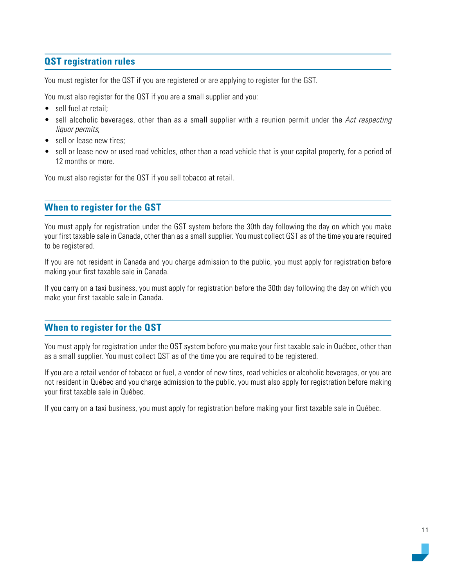# <span id="page-10-0"></span>**QST registration rules**

You must register for the QST if you are registered or are applying to register for the GST.

You must also register for the QST if you are a small supplier and you:

- sell fuel at retail;
- sell alcoholic beverages, other than as a small supplier with a reunion permit under the Act respecting liquor permits;
- sell or lease new tires:
- sell or lease new or used road vehicles, other than a road vehicle that is your capital property, for a period of 12 months or more.

You must also register for the QST if you sell tobacco at retail.

# **When to register for the GST**

You must apply for registration under the GST system before the 30th day following the day on which you make your first taxable sale in Canada, other than as a small supplier. You must collect GST as of the time you are required to be registered.

If you are not resident in Canada and you charge admission to the public, you must apply for registration before making your first taxable sale in Canada.

If you carry on a taxi business, you must apply for registration before the 30th day following the day on which you make your first taxable sale in Canada.

# **When to register for the QST**

You must apply for registration under the QST system before you make your first taxable sale in Québec, other than as a small supplier. You must collect QST as of the time you are required to be registered.

If you are a retail vendor of tobacco or fuel, a vendor of new tires, road vehicles or alcoholic beverages, or you are not resident in Québec and you charge admission to the public, you must also apply for registration before making your first taxable sale in Québec.

If you carry on a taxi business, you must apply for registration before making your first taxable sale in Québec.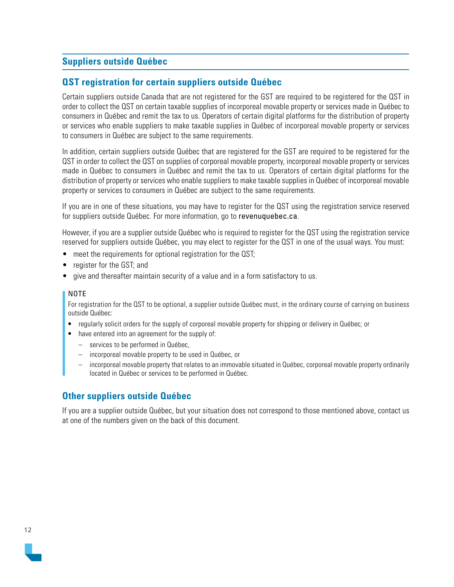# <span id="page-11-0"></span>**Suppliers outside Québec**

### **QST registration for certain suppliers outside Québec**

Certain suppliers outside Canada that are not registered for the GST are required to be registered for the QST in order to collect the QST on certain taxable supplies of incorporeal movable property or services made in Québec to consumers in Québec and remit the tax to us. Operators of certain digital platforms for the distribution of property or services who enable suppliers to make taxable supplies in Québec of incorporeal movable property or services to consumers in Québec are subject to the same requirements.

In addition, certain suppliers outside Québec that are registered for the GST are required to be registered for the QST in order to collect the QST on supplies of corporeal movable property, incorporeal movable property or services made in Québec to consumers in Québec and remit the tax to us. Operators of certain digital platforms for the distribution of property or services who enable suppliers to make taxable supplies in Québec of incorporeal movable property or services to consumers in Québec are subject to the same requirements.

If you are in one of these situations, you may have to register for the QST using the registration service reserved for suppliers outside Québec. For more information, go to [revenuquebec.ca](http://www.revenuquebec.ca/en/).

However, if you are a supplier outside Québec who is required to register for the QST using the registration service reserved for suppliers outside Québec, you may elect to register for the QST in one of the usual ways. You must:

- meet the requirements for optional registration for the QST;
- register for the GST; and
- give and thereafter maintain security of a value and in a form satisfactory to us.

#### NOTE

For registration for the QST to be optional, a supplier outside Québec must, in the ordinary course of carrying on business outside Québec:

- regularly solicit orders for the supply of corporeal movable property for shipping or delivery in Québec; or
- have entered into an agreement for the supply of:
	- services to be performed in Québec,
	- incorporeal movable property to be used in Québec, or
	- incorporeal movable property that relates to an immovable situated in Québec, corporeal movable property ordinarily located in Québec or services to be performed in Québec.

### **Other suppliers outside Québec**

If you are a supplier outside Québec, but your situation does not correspond to those mentioned above, contact us at one of the numbers given on the back of this document.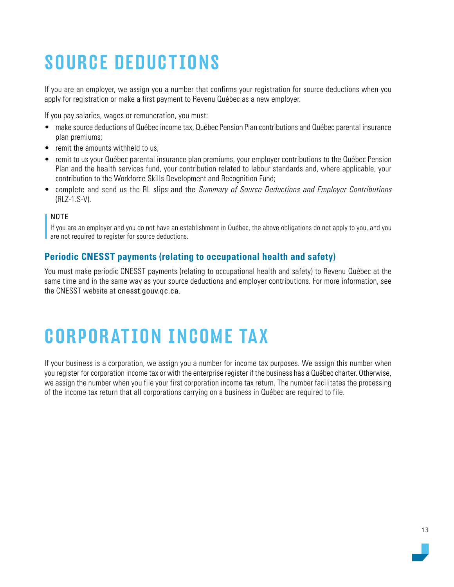# <span id="page-12-0"></span>SOURCE DEDUCTIONS

If you are an employer, we assign you a number that confirms your registration for source deductions when you apply for registration or make a first payment to Revenu Québec as a new employer.

If you pay salaries, wages or remuneration, you must:

- make source deductions of Québec income tax, Québec Pension Plan contributions and Québec parental insurance plan premiums;
- remit the amounts withheld to us:
- remit to us your Québec parental insurance plan premiums, your employer contributions to the Québec Pension Plan and the health services fund, your contribution related to labour standards and, where applicable, your contribution to the Workforce Skills Development and Recognition Fund;
- complete and send us the RL slips and the Summary of Source Deductions and Employer Contributions (RLZ-1.S-V).

#### NOTE

If you are an employer and you do not have an establishment in Québec, the above obligations do not apply to you, and you are not required to register for source deductions.

# **Periodic CNESST payments (relating to occupational health and safety)**

You must make periodic CNESST payments (relating to occupational health and safety) to Revenu Québec at the same time and in the same way as your source deductions and employer contributions. For more information, see the CNESST website at [cnesst.gouv.qc.ca](https://www.cnesst.gouv.qc.ca/en).

# CORPORATION INCOME TAX

If your business is a corporation, we assign you a number for income tax purposes. We assign this number when you register for corporation income tax or with the enterprise register if the business has a Québec charter. Otherwise, we assign the number when you file your first corporation income tax return. The number facilitates the processing of the income tax return that all corporations carrying on a business in Québec are required to file.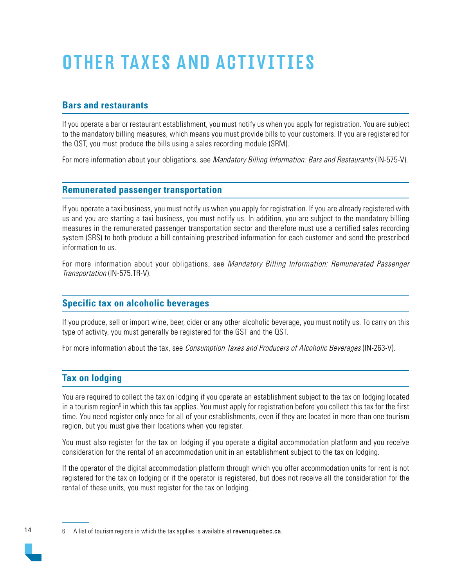# <span id="page-13-0"></span>OTHER TAXES AND ACTIVITIES

# **Bars and restaurants**

If you operate a bar or restaurant establishment, you must notify us when you apply for registration. You are subject to the mandatory billing measures, which means you must provide bills to your customers. If you are registered for the QST, you must produce the bills using a sales recording module (SRM).

For more information about your obligations, see Mandatory Billing Information: Bars and Restaurants (IN-575-V).

### **Remunerated passenger transportation**

If you operate a taxi business, you must notify us when you apply for registration. If you are already registered with us and you are starting a taxi business, you must notify us. In addition, you are subject to the mandatory billing measures in the remunerated passenger transportation sector and therefore must use a certified sales recording system (SRS) to both produce a bill containing prescribed information for each customer and send the prescribed information to us.

For more information about your obligations, see Mandatory Billing Information: Remunerated Passenger Transportation (IN-575.TR-V).

# **Specific tax on alcoholic beverages**

If you produce, sell or import wine, beer, cider or any other alcoholic beverage, you must notify us. To carry on this type of activity, you must generally be registered for the GST and the QST.

For more information about the tax, see Consumption Taxes and Producers of Alcoholic Beverages (IN-263-V).

# **Tax on lodging**

You are required to collect the tax on lodging if you operate an establishment subject to the tax on lodging located in a tourism region<sup>6</sup> in which this tax applies. You must apply for registration before you collect this tax for the first time. You need register only once for all of your establishments, even if they are located in more than one tourism region, but you must give their locations when you register.

You must also register for the tax on lodging if you operate a digital accommodation platform and you receive consideration for the rental of an accommodation unit in an establishment subject to the tax on lodging.

If the operator of the digital accommodation platform through which you offer accommodation units for rent is not registered for the tax on lodging or if the operator is registered, but does not receive all the consideration for the rental of these units, you must register for the tax on lodging.

6. A list of tourism regions in which the tax applies is available at [revenuquebec.ca](http://www.revenuquebec.ca/en/).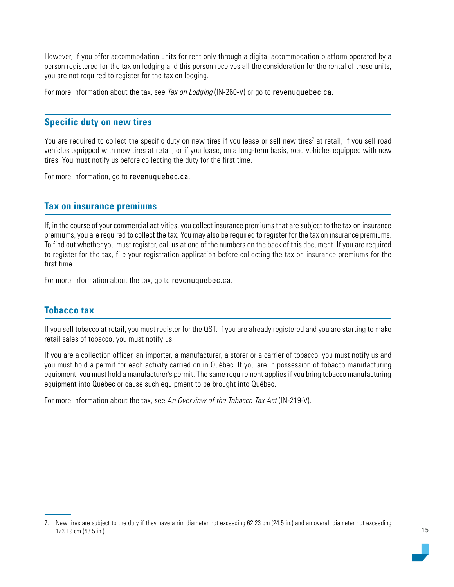<span id="page-14-0"></span>However, if you offer accommodation units for rent only through a digital accommodation platform operated by a person registered for the tax on lodging and this person receives all the consideration for the rental of these units, you are not required to register for the tax on lodging.

For more information about the tax, see Tax on Lodging (IN-260-V) or go to [revenuquebec.ca](https://www.revenuquebec.ca/en).

### **Specific duty on new tires**

You are required to collect the specific duty on new tires if you lease or sell new tires<sup>7</sup> at retail, if you sell road vehicles equipped with new tires at retail, or if you lease, on a long-term basis, road vehicles equipped with new tires. You must notify us before collecting the duty for the first time.

For more information, go to [revenuquebec.ca](http://www.revenuquebec.ca/en/).

### **Tax on insurance premiums**

If, in the course of your commercial activities, you collect insurance premiums that are subject to the tax on insurance premiums, you are required to collect the tax. You may also be required to register for the tax on insurance premiums. To find out whether you must register, call us at one of the numbers on the back of this document. If you are required to register for the tax, file your registration application before collecting the tax on insurance premiums for the first time.

For more information about the tax, go to [revenuquebec.ca](http://www.revenuquebec.ca/en/).

### **Tobacco tax**

If you sell tobacco at retail, you must register for the QST. If you are already registered and you are starting to make retail sales of tobacco, you must notify us.

If you are a collection officer, an importer, a manufacturer, a storer or a carrier of tobacco, you must notify us and you must hold a permit for each activity carried on in Québec. If you are in possession of tobacco manufacturing equipment, you must hold a manufacturer's permit. The same requirement applies if you bring tobacco manufacturing equipment into Québec or cause such equipment to be brought into Québec.

For more information about the tax, see An Overview of the Tobacco Tax Act (IN-219-V).

<sup>7.</sup> New tires are subject to the duty if they have a rim diameter not exceeding 62.23 cm (24.5 in.) and an overall diameter not exceeding 123.19 cm (48.5 in.).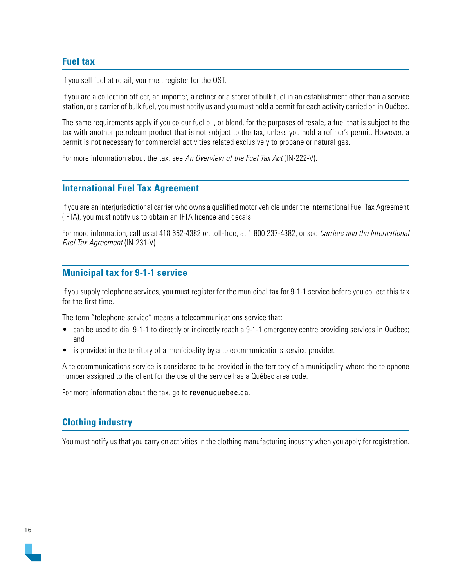### <span id="page-15-0"></span>**Fuel tax**

If you sell fuel at retail, you must register for the QST.

If you are a collection officer, an importer, a refiner or a storer of bulk fuel in an establishment other than a service station, or a carrier of bulk fuel, you must notify us and you must hold a permit for each activity carried on in Québec.

The same requirements apply if you colour fuel oil, or blend, for the purposes of resale, a fuel that is subject to the tax with another petroleum product that is not subject to the tax, unless you hold a refiner's permit. However, a permit is not necessary for commercial activities related exclusively to propane or natural gas.

For more information about the tax, see An Overview of the Fuel Tax Act (IN-222-V).

#### **International Fuel Tax Agreement**

If you are an interjurisdictional carrier who owns a qualified motor vehicle under the International Fuel Tax Agreement (IFTA), you must notify us to obtain an IFTA licence and decals.

For more information, call us at 418 652-4382 or, toll-free, at 1 800 237-4382, or see Carriers and the International Fuel Tax Agreement (IN-231-V).

#### **Municipal tax for 9-1-1 service**

If you supply telephone services, you must register for the municipal tax for 9-1-1 service before you collect this tax for the first time.

The term "telephone service" means a telecommunications service that:

- can be used to dial 9-1-1 to directly or indirectly reach a 9-1-1 emergency centre providing services in Québec; and
- is provided in the territory of a municipality by a telecommunications service provider.

A telecommunications service is considered to be provided in the territory of a municipality where the telephone number assigned to the client for the use of the service has a Québec area code.

For more information about the tax, go to [revenuquebec.ca](http://revenuquebec.ca/en/).

### **Clothing industry**

You must notify us that you carry on activities in the clothing manufacturing industry when you apply for registration.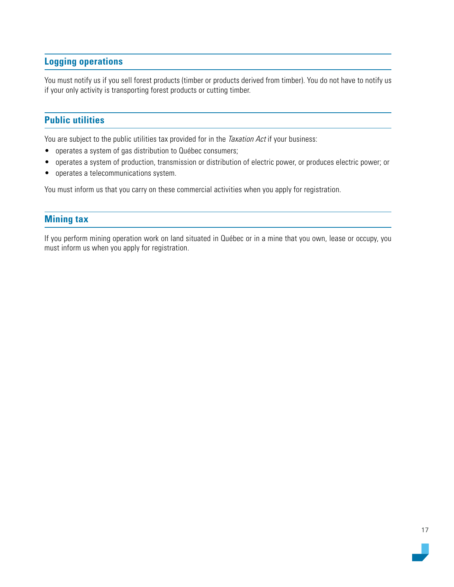# <span id="page-16-0"></span>**Logging operations**

You must notify us if you sell forest products (timber or products derived from timber). You do not have to notify us if your only activity is transporting forest products or cutting timber.

# **Public utilities**

You are subject to the public utilities tax provided for in the *Taxation Act* if your business:

- operates a system of gas distribution to Québec consumers;
- operates a system of production, transmission or distribution of electric power, or produces electric power; or
- operates a telecommunications system.

You must inform us that you carry on these commercial activities when you apply for registration.

### **Mining tax**

If you perform mining operation work on land situated in Québec or in a mine that you own, lease or occupy, you must inform us when you apply for registration.